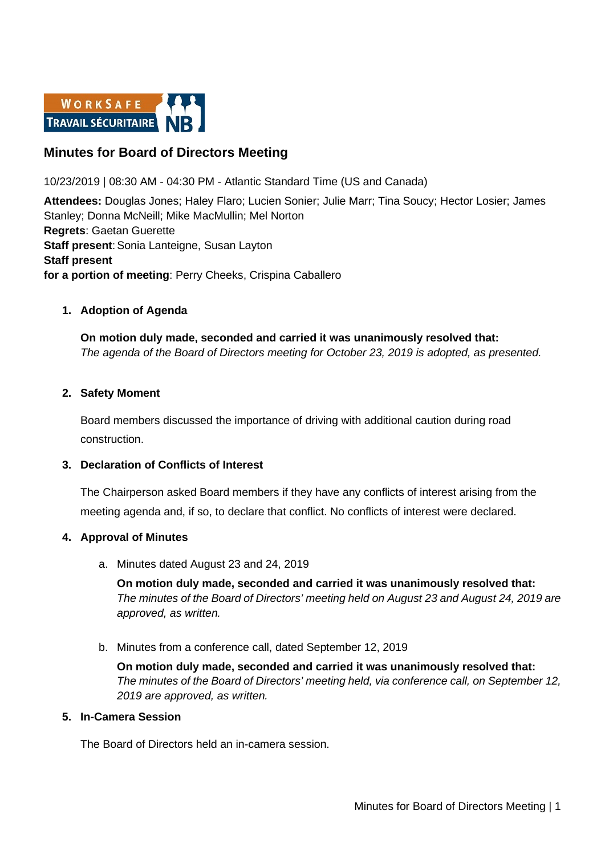

# **Minutes for Board of Directors Meeting**

10/23/2019 | 08:30 AM - 04:30 PM - Atlantic Standard Time (US and Canada)

**Attendees:** Douglas Jones; Haley Flaro; Lucien Sonier; Julie Marr; Tina Soucy; Hector Losier; James Stanley; Donna McNeill; Mike MacMullin; Mel Norton **Regrets**: Gaetan Guerette **Staff present: Sonia Lanteigne, Susan Layton Staff present for a portion of meeting**: Perry Cheeks, Crispina Caballero

## **1. Adoption of Agenda**

**On motion duly made, seconded and carried it was unanimously resolved that:** *The agenda of the Board of Directors meeting for October 23, 2019 is adopted, as presented.*

### **2. Safety Moment**

Board members discussed the importance of driving with additional caution during road construction.

### **3. Declaration of Conflicts of Interest**

The Chairperson asked Board members if they have any conflicts of interest arising from the meeting agenda and, if so, to declare that conflict. No conflicts of interest were declared.

### **4. Approval of Minutes**

a. Minutes dated August 23 and 24, 2019

**On motion duly made, seconded and carried it was unanimously resolved that:** *The minutes of the Board of Directors' meeting held on August 23 and August 24, 2019 are approved, as written.*

b. Minutes from a conference call, dated September 12, 2019

**On motion duly made, seconded and carried it was unanimously resolved that:** *The minutes of the Board of Directors' meeting held, via conference call, on September 12, 2019 are approved, as written.*

# **5. In-Camera Session**

The Board of Directors held an in-camera session.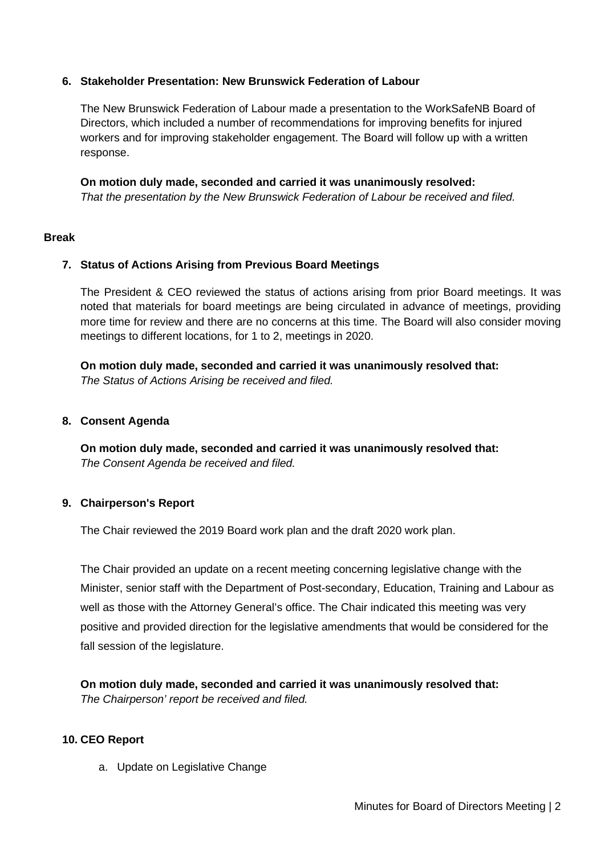### **6. Stakeholder Presentation: New Brunswick Federation of Labour**

The New Brunswick Federation of Labour made a presentation to the WorkSafeNB Board of Directors, which included a number of recommendations for improving benefits for injured workers and for improving stakeholder engagement. The Board will follow up with a written response.

**On motion duly made, seconded and carried it was unanimously resolved:** *That the presentation by the New Brunswick Federation of Labour be received and filed.* 

#### **Break**

### **7. Status of Actions Arising from Previous Board Meetings**

The President & CEO reviewed the status of actions arising from prior Board meetings. It was noted that materials for board meetings are being circulated in advance of meetings, providing more time for review and there are no concerns at this time. The Board will also consider moving meetings to different locations, for 1 to 2, meetings in 2020.

**On motion duly made, seconded and carried it was unanimously resolved that:** *The Status of Actions Arising be received and filed.*

#### **8. Consent Agenda**

**On motion duly made, seconded and carried it was unanimously resolved that:** *The Consent Agenda be received and filed.*

### **9. Chairperson's Report**

The Chair reviewed the 2019 Board work plan and the draft 2020 work plan.

The Chair provided an update on a recent meeting concerning legislative change with the Minister, senior staff with the Department of Post-secondary, Education, Training and Labour as well as those with the Attorney General's office. The Chair indicated this meeting was very positive and provided direction for the legislative amendments that would be considered for the fall session of the legislature.

**On motion duly made, seconded and carried it was unanimously resolved that:** *The Chairperson' report be received and filed.*

### **10. CEO Report**

a. Update on Legislative Change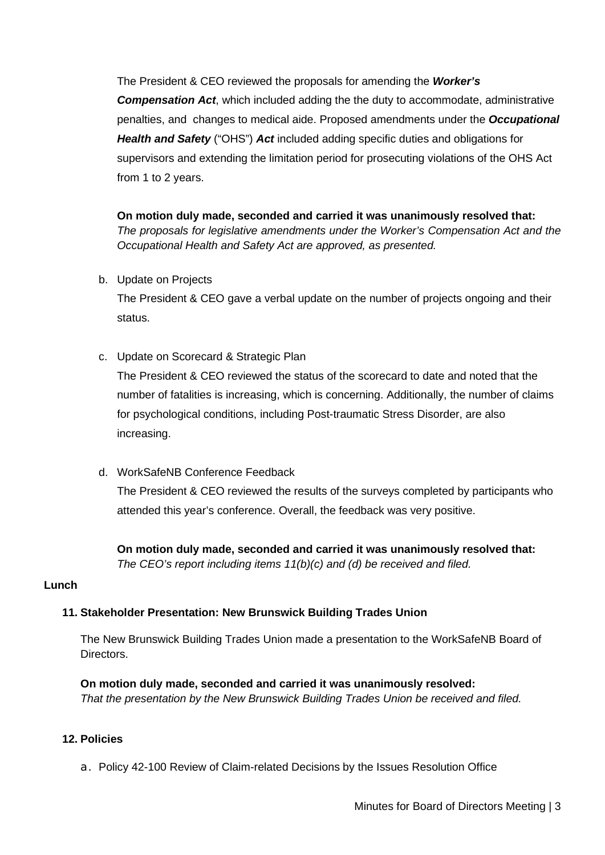The President & CEO reviewed the proposals for amending the *Worker's Compensation Act*, which included adding the the duty to accommodate, administrative penalties, and changes to medical aide. Proposed amendments under the *Occupational Health and Safety* ("OHS") *Act* included adding specific duties and obligations for supervisors and extending the limitation period for prosecuting violations of the OHS Act from 1 to 2 years.

**On motion duly made, seconded and carried it was unanimously resolved that:** *The proposals for legislative amendments under the Worker's Compensation Act and the Occupational Health and Safety Act are approved, as presented.* 

b. Update on Projects

The President & CEO gave a verbal update on the number of projects ongoing and their status.

c. Update on Scorecard & Strategic Plan

The President & CEO reviewed the status of the scorecard to date and noted that the number of fatalities is increasing, which is concerning. Additionally, the number of claims for psychological conditions, including Post-traumatic Stress Disorder, are also increasing.

d. WorkSafeNB Conference Feedback

The President & CEO reviewed the results of the surveys completed by participants who attended this year's conference. Overall, the feedback was very positive.

**On motion duly made, seconded and carried it was unanimously resolved that:** *The CEO's report including items 11(b)(c) and (d) be received and filed.*

# **Lunch**

# **11. Stakeholder Presentation: New Brunswick Building Trades Union**

The New Brunswick Building Trades Union made a presentation to the WorkSafeNB Board of Directors.

**On motion duly made, seconded and carried it was unanimously resolved:** *That the presentation by the New Brunswick Building Trades Union be received and filed.* 

### **12. Policies**

a. Policy 42-100 Review of Claim-related Decisions by the Issues Resolution Office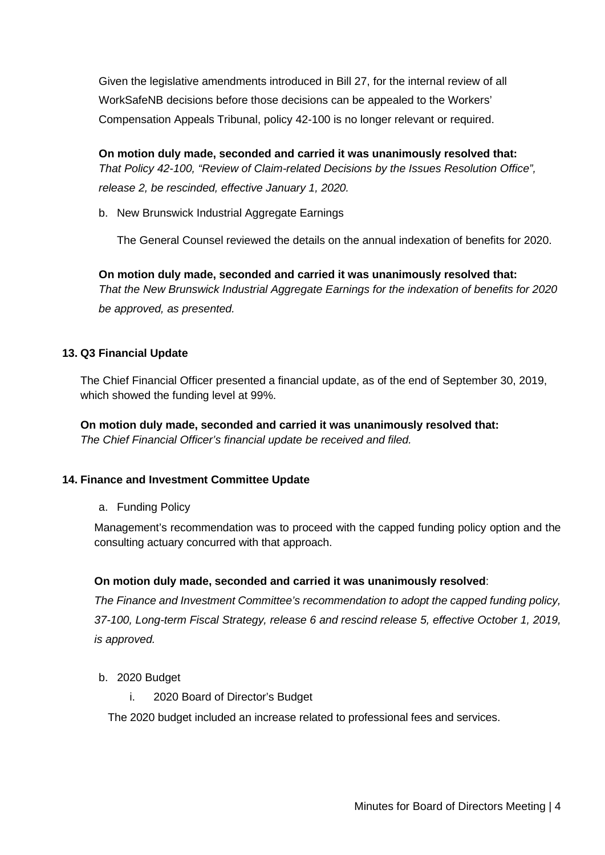Given the legislative amendments introduced in Bill 27, for the internal review of all WorkSafeNB decisions before those decisions can be appealed to the Workers' Compensation Appeals Tribunal, policy 42-100 is no longer relevant or required.

**On motion duly made, seconded and carried it was unanimously resolved that:** *That Policy 42-100, "Review of Claim-related Decisions by the Issues Resolution Office", release 2, be rescinded, effective January 1, 2020.*

b. New Brunswick Industrial Aggregate Earnings

The General Counsel reviewed the details on the annual indexation of benefits for 2020.

**On motion duly made, seconded and carried it was unanimously resolved that:** *That the New Brunswick Industrial Aggregate Earnings for the indexation of benefits for 2020 be approved, as presented.* 

# **13. Q3 Financial Update**

The Chief Financial Officer presented a financial update, as of the end of September 30, 2019, which showed the funding level at 99%.

**On motion duly made, seconded and carried it was unanimously resolved that:** *The Chief Financial Officer's financial update be received and filed.*

### **14. Finance and Investment Committee Update**

a. Funding Policy

Management's recommendation was to proceed with the capped funding policy option and the consulting actuary concurred with that approach.

### **On motion duly made, seconded and carried it was unanimously resolved**:

*The Finance and Investment Committee's recommendation to adopt the capped funding policy, 37-100, Long-term Fiscal Strategy, release 6 and rescind release 5, effective October 1, 2019, is approved.* 

- b. 2020 Budget
	- i. 2020 Board of Director's Budget

The 2020 budget included an increase related to professional fees and services.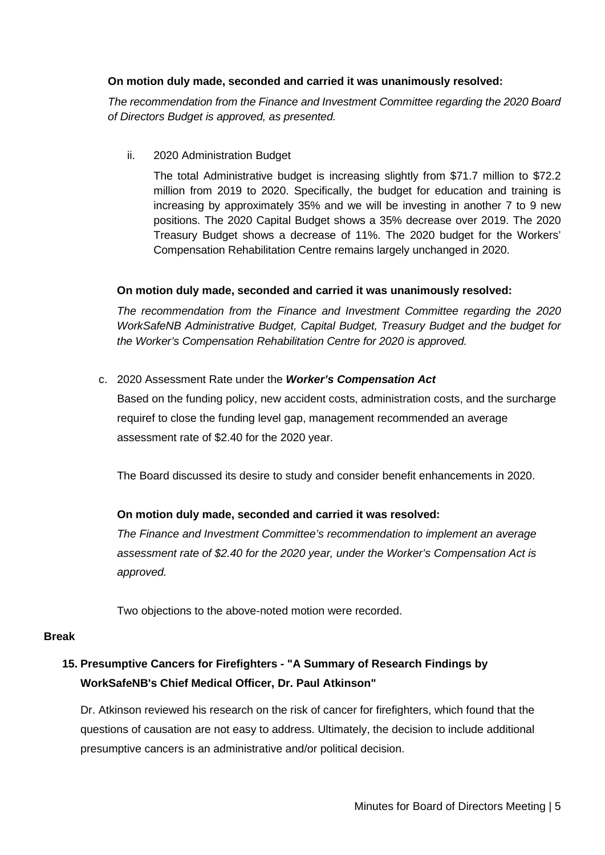### **On motion duly made, seconded and carried it was unanimously resolved:**

*The recommendation from the Finance and Investment Committee regarding the 2020 Board of Directors Budget is approved, as presented.* 

ii. 2020 Administration Budget

The total Administrative budget is increasing slightly from \$71.7 million to \$72.2 million from 2019 to 2020. Specifically, the budget for education and training is increasing by approximately 35% and we will be investing in another 7 to 9 new positions. The 2020 Capital Budget shows a 35% decrease over 2019. The 2020 Treasury Budget shows a decrease of 11%. The 2020 budget for the Workers' Compensation Rehabilitation Centre remains largely unchanged in 2020.

## **On motion duly made, seconded and carried it was unanimously resolved:**

*The recommendation from the Finance and Investment Committee regarding the 2020 WorkSafeNB Administrative Budget, Capital Budget, Treasury Budget and the budget for the Worker's Compensation Rehabilitation Centre for 2020 is approved.* 

c. 2020 Assessment Rate under the *Worker's Compensation Act*

Based on the funding policy, new accident costs, administration costs, and the surcharge requiref to close the funding level gap, management recommended an average assessment rate of \$2.40 for the 2020 year.

The Board discussed its desire to study and consider benefit enhancements in 2020.

# **On motion duly made, seconded and carried it was resolved:**

*The Finance and Investment Committee's recommendation to implement an average assessment rate of \$2.40 for the 2020 year, under the Worker's Compensation Act is approved.*

Two objections to the above-noted motion were recorded.

### **Break**

# **15. Presumptive Cancers for Firefighters - "A Summary of Research Findings by WorkSafeNB's Chief Medical Officer, Dr. Paul Atkinson"**

Dr. Atkinson reviewed his research on the risk of cancer for firefighters, which found that the questions of causation are not easy to address. Ultimately, the decision to include additional presumptive cancers is an administrative and/or political decision.